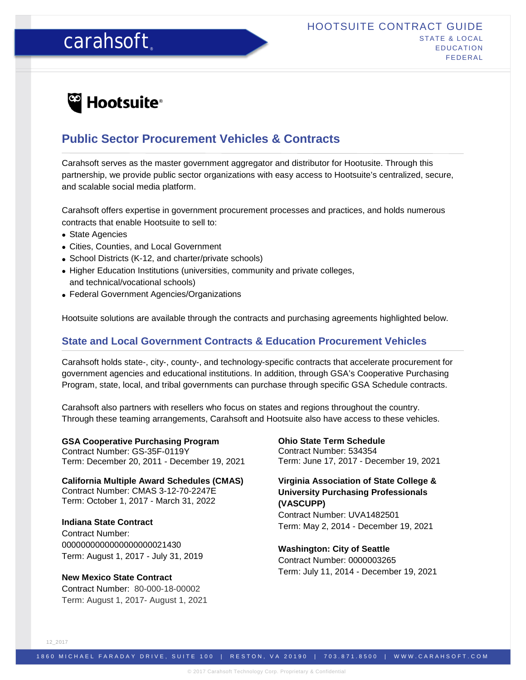# carahsoft.

# <sup>e</sup> Hootsuite<sup>®</sup>

# **Public Sector Procurement Vehicles & Contracts**

Carahsoft serves as the master government aggregator and distributor for Hootusite. Through this partnership, we provide public sector organizations with easy access to Hootsuite's centralized, secure, and scalable social media platform.

Carahsoft offers expertise in government procurement processes and practices, and holds numerous contracts that enable Hootsuite to sell to:

- State Agencies
- Cities, Counties, and Local Government
- School Districts (K-12, and charter/private schools)
- Higher Education Institutions (universities, community and private colleges, and technical/vocational schools)
- Federal Government Agencies/Organizations

Hootsuite solutions are available through the contracts and purchasing agreements highlighted below.

### **State and Local Government Contracts & Education Procurement Vehicles**

Carahsoft holds state-, city-, county-, and technology-specific contracts that accelerate procurement for government agencies and educational institutions. In addition, through GSA's Cooperative Purchasing Program, state, local, and tribal governments can purchase through specific GSA Schedule contracts.

Carahsoft also partners with resellers who focus on states and regions throughout the country. Through these teaming arrangements, Carahsoft and Hootsuite also have access to these vehicles.

**GSA Cooperative Purchasing Program**  Contract Number: GS-35F-0119Y Term: December 20, 2011 - December 19, 2021

**California Multiple Award Schedules (CMAS)** Contract Number: CMAS 3-12-70-2247E Term: October 1, 2017 - March 31, 2022

**Indiana State Contract** Contract Number: 0000000000000000000021430 Term: August 1, 2017 - July 31, 2019

**New Mexico State Contract** Contract Number: 80-000-18-00002 Term: August 1, 2017- August 1, 2021 **Ohio State Term Schedule** Contract Number: 534354 Term: June 17, 2017 - December 19, 2021

### **Virginia Association of State College & University Purchasing Professionals (VASCUPP)**

Contract Number: UVA1482501 Term: May 2, 2014 - December 19, 2021

**Washington: City of Seattle** Contract Number: 0000003265 Term: July 11, 2014 - December 19, 2021

12\_2017